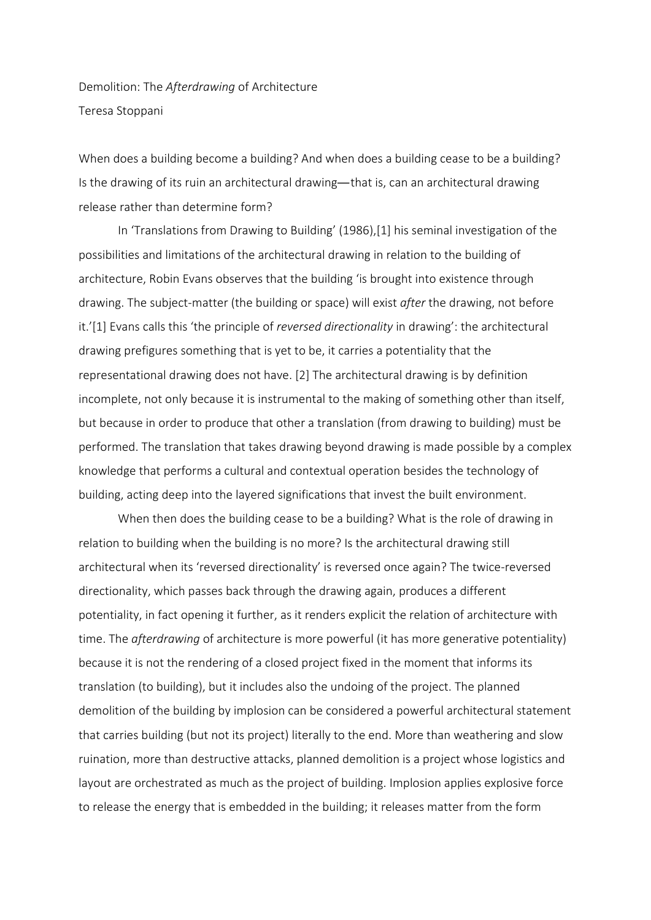Demolition: The *Afterdrawing* of Architecture Teresa Stoppani

When does a building become a building? And when does a building cease to be a building? Is the drawing of its ruin an architectural drawing—that is, can an architectural drawing release rather than determine form?

In 'Translations from Drawing to Building' (1986),[1] his seminal investigation of the possibilities and limitations of the architectural drawing in relation to the building of architecture, Robin Evans observes that the building 'is brought into existence through drawing. The subject-matter (the building or space) will exist *after* the drawing, not before it.'[1] Evans calls this 'the principle of *reversed directionality* in drawing': the architectural drawing prefigures something that is yet to be, it carries a potentiality that the representational drawing does not have. [2] The architectural drawing is by definition incomplete, not only because it is instrumental to the making of something other than itself, but because in order to produce that other a translation (from drawing to building) must be performed. The translation that takes drawing beyond drawing is made possible by a complex knowledge that performs a cultural and contextual operation besides the technology of building, acting deep into the layered significations that invest the built environment.

When then does the building cease to be a building? What is the role of drawing in relation to building when the building is no more? Is the architectural drawing still architectural when its 'reversed directionality' is reversed once again? The twice-reversed directionality, which passes back through the drawing again, produces a different potentiality, in fact opening it further, as it renders explicit the relation of architecture with time. The *afterdrawing* of architecture is more powerful (it has more generative potentiality) because it is not the rendering of a closed project fixed in the moment that informs its translation (to building), but it includes also the undoing of the project. The planned demolition of the building by implosion can be considered a powerful architectural statement that carries building (but not its project) literally to the end. More than weathering and slow ruination, more than destructive attacks, planned demolition is a project whose logistics and layout are orchestrated as much as the project of building. Implosion applies explosive force to release the energy that is embedded in the building; it releases matter from the form